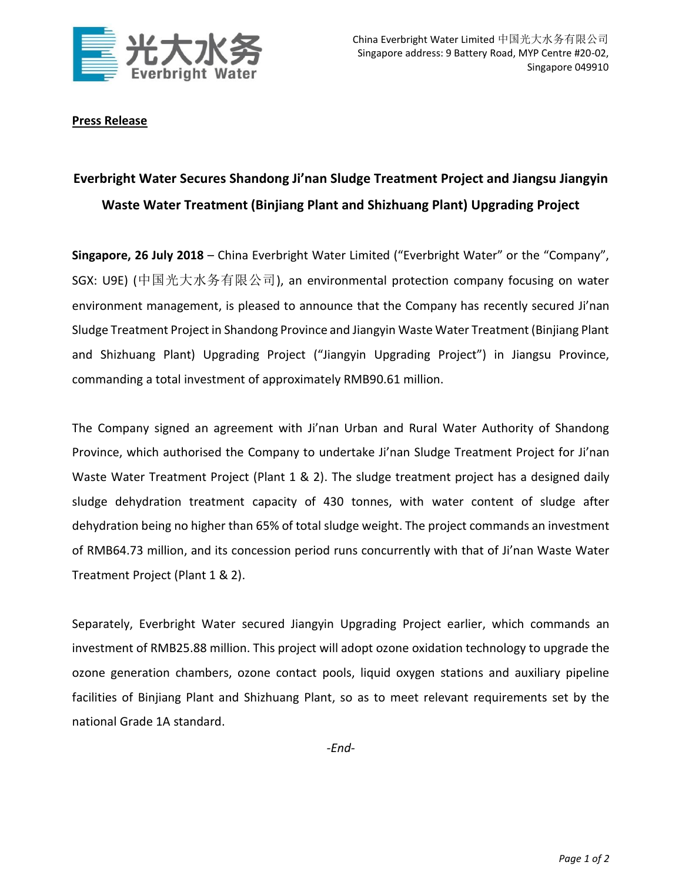

**Press Release** 

## **Everbright Water Secures Shandong Ji'nan Sludge Treatment Project and Jiangsu Jiangyin Waste Water Treatment (Binjiang Plant and Shizhuang Plant) Upgrading Project**

**Singapore, 26 July 2018** – China Everbright Water Limited ("Everbright Water" or the "Company", SGX: U9E) (中国光大水务有限公司), an environmental protection company focusing on water environment management, is pleased to announce that the Company has recently secured Ji'nan Sludge Treatment Project in Shandong Province and Jiangyin Waste Water Treatment (Binjiang Plant and Shizhuang Plant) Upgrading Project ("Jiangyin Upgrading Project") in Jiangsu Province, commanding a total investment of approximately RMB90.61 million.

The Company signed an agreement with Ji'nan Urban and Rural Water Authority of Shandong Province, which authorised the Company to undertake Ji'nan Sludge Treatment Project for Ji'nan Waste Water Treatment Project (Plant 1 & 2). The sludge treatment project has a designed daily sludge dehydration treatment capacity of 430 tonnes, with water content of sludge after dehydration being no higher than 65% of total sludge weight. The project commands an investment of RMB64.73 million, and its concession period runs concurrently with that of Ji'nan Waste Water Treatment Project (Plant 1 & 2).

Separately, Everbright Water secured Jiangyin Upgrading Project earlier, which commands an investment of RMB25.88 million. This project will adopt ozone oxidation technology to upgrade the ozone generation chambers, ozone contact pools, liquid oxygen stations and auxiliary pipeline facilities of Binjiang Plant and Shizhuang Plant, so as to meet relevant requirements set by the national Grade 1A standard.

*-End-*